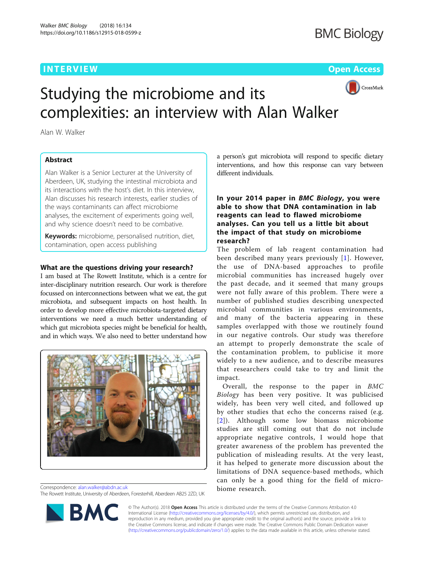## **INTERVIEW ACCESS AND LOCAL CONTRACT CONTRACT OF ACCESS**



# Studying the microbiome and its complexities: an interview with Alan Walker

Alan W. Walker

## Abstract

Alan Walker is a Senior Lecturer at the University of Aberdeen, UK, studying the intestinal microbiota and its interactions with the host's diet. In this interview, Alan discusses his research interests, earlier studies of the ways contaminants can affect microbiome analyses, the excitement of experiments going well, and why science doesn't need to be combative.

Keywords: microbiome, personalised nutrition, diet, contamination, open access publishing

## What are the questions driving your research?

I am based at The Rowett Institute, which is a centre for inter-disciplinary nutrition research. Our work is therefore focussed on interconnections between what we eat, the gut microbiota, and subsequent impacts on host health. In order to develop more effective microbiota-targeted dietary interventions we need a much better understanding of which gut microbiota species might be beneficial for health, and in which ways. We also need to better understand how



Correspondence: [alan.walker@abdn.ac.uk](mailto:alan.walker@abdn.ac.uk) The Rowett Institute, University of Aberdeen, Foresterhill, Aberdeen AB25 2ZD, UK



## In your 2014 paper in BMC Biology, you were able to show that DNA contamination in lab reagents can lead to flawed microbiome analyses. Can you tell us a little bit about the impact of that study on microbiome research?

The problem of lab reagent contamination had been described many years previously [[1\]](#page-1-0). However, the use of DNA-based approaches to profile microbial communities has increased hugely over the past decade, and it seemed that many groups were not fully aware of this problem. There were a number of published studies describing unexpected microbial communities in various environments, and many of the bacteria appearing in these samples overlapped with those we routinely found in our negative controls. Our study was therefore an attempt to properly demonstrate the scale of the contamination problem, to publicise it more widely to a new audience, and to describe measures that researchers could take to try and limit the impact.

Overall, the response to the paper in BMC Biology has been very positive. It was publicised widely, has been very well cited, and followed up by other studies that echo the concerns raised (e.g. [[2](#page-1-0)]). Although some low biomass microbiome studies are still coming out that do not include appropriate negative controls, I would hope that greater awareness of the problem has prevented the publication of misleading results. At the very least, it has helped to generate more discussion about the limitations of DNA sequence-based methods, which can only be a good thing for the field of microbiome research.



© The Author(s). 2018 Open Access This article is distributed under the terms of the Creative Commons Attribution 4.0 International License [\(http://creativecommons.org/licenses/by/4.0/](http://creativecommons.org/licenses/by/4.0/)), which permits unrestricted use, distribution, and reproduction in any medium, provided you give appropriate credit to the original author(s) and the source, provide a link to the Creative Commons license, and indicate if changes were made. The Creative Commons Public Domain Dedication waiver [\(http://creativecommons.org/publicdomain/zero/1.0/](http://creativecommons.org/publicdomain/zero/1.0/)) applies to the data made available in this article, unless otherwise stated.